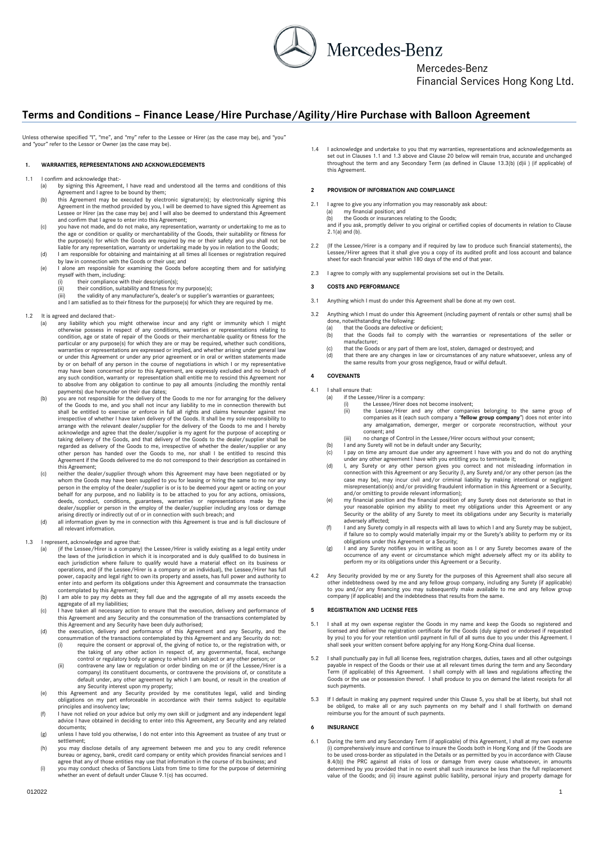Mercedes-Benz

Mercedes-Benz

Financial Services Hong Kong Ltd.

# **Terms and Conditions – Finance Lease/Hire Purchase/Agility/Hire Purchase with Balloon Agreement**

Unless otherwise specified "I", "me", and "my" refer to the Lessee or Hirer (as the case may be), and "you" and "your" refer to the Lessor or Owner (as the case may be).

# **1. WARRANTIES, REPRESENTATIONS AND ACKNOWLEDGEMENTS**

1.1 I confirm and acknowledge that:

- <span id="page-0-0"></span>(a) by signing this Agreement, I have read and understood all the terms and conditions of this Agreement and I agree to be bound by them;
- (b) this Agreement may be executed by electronic signature(s); by electronically signing this Agreement in the method provided by you, I will be deemed to have signed this Agreement as Lessee or Hirer (as the case may be) and I will also be deemed to understand this Agreement and confirm that I agree to enter into this Agreement;
- (c) you have not made, and do not make, any representation, warranty or undertaking to me as to the age or condition or quality or merchantability of the Goods, their suitability or fitness for the purpose(s) for which the Goods are required by me or their safety and you shall not be liable for any representation, warranty or undertaking made by you in relation to the Goods;
- (d) I am responsible for obtaining and maintaining at all times all licenses or registration required by law in connection with the Goods or their use; and
- (e) I alone am responsible for examining the Goods before accepting them and for satisfying myself with them, including:
	- (i) their compliance with their description(s);
		- their condition, suitability and fitness for my purpose(s);
	- (iii) the validity of any manufacturer's, dealer's or supplier's warranties or guarantees; and I am satisfied as to their fitness for the purpose(s) for which they are required by me.

# 1.2 It is agreed and declared that:-

- any liability which you might otherwise incur and any right or immunity which I might otherwise possess in respect of any conditions, warranties or representations relating to condition, age or state of repair of the Goods or their merchantable quality or fitness for the particular or any purpose(s) for which they are or may be required, whether such conditions, warranties or representations are expressed or implied, and whether arising under general law or under this Agreement or under any prior agreement or in oral or written statements made by or on behalf of any person in the course of negotiations in which I or my representative may have been concerned prior to this Agreement, are expressly excluded and no breach of any such condition, warranty or representation shall entitle me to rescind this Agreement nor to absolve from any obligation to continue to pay all amounts (including the monthly rental payments) due hereunder on their due dates:
- (b) you are not responsible for the delivery of the Goods to me nor for arranging for the delivery of the Goods to me, and you shall not incur any liability to me in connection therewith but<br>shall be entitled to exercise or enforce in full all rights and claims hereunder against me<br>irrespective of whether I have taken d arrange with the relevant dealer/supplier for the delivery of the Goods to me and I hereby acknowledge and agree that the dealer/supplier is my agent for the purpose of accepting or taking delivery of the Goods, and that delivery of the Goods to the dealer/supplier shall be regarded as delivery of the Goods to me, irrespective of whether the dealer/supplier or any other person has handed over the Goods to me, nor shall I be entitled to rescind this Agreement if the Goods delivered to me do not correspond to their description as contained in Agreement if the Goods delivered to me do not correspond to their description as contained in this Agreement;
- (c) neither the dealer/supplier through whom this Agreement may have been negotiated or by whom the Goods may have been supplied to you for leasing or hiring the same to me nor any person in the employ of the dealer/suppli deeds, conduct, conditions, guarantees, warranties or representations made by the dealer/supplier or person in the employ of the dealer/supplier including any loss or damage arising directly or indirectly out of or in connection with such breach; and
- (d) all information given by me in connection with this Agreement is true and is full disclosure of all relevant information.
- <span id="page-0-1"></span>1.3 I represent, acknowledge and agree that:
	- (a) (if the Lessee/Hirer is a company) the Lessee/Hirer is validly existing as a legal entity under the laws of the jurisdiction in which it is incorporated and is duly qualified to do business in each jurisdiction where failure to qualify would have a material effect on its business or operations, and (if the Lessee/Hirer is a company or an individual), the Lessee/Hirer has full power, capacity and legal right to own its property and assets, has full power and authority to enter into and perform its obligations under this Agreement and consummate the transaction contemplated by this Agreement;
	- (b) I am able to pay my debts as they fall due and the aggregate of all my assets exceeds the aggregate of all my liabilities;
	- (c) I have taken all necessary action to ensure that the execution, delivery and performance of this Agreement and any Security and the consummation of the transactions contemplated by this Agreement and any Security have been duly authorised; (d) the execution, delivery and performance of this Agreement and any Security, and the
	- consummation of the transactions contemplated by this Agreement and any Security do not:<br>(i) require the consent or approval of, the giving of notice to, or the registration with, or<br>the taking of any other action in respe
		- control or regulatory body or agency to which I am subject or any other person; or (ii) contravene any law or regulation or order binding on me or (if the Lessee/Hirer is a company) its constituent documents, or contravene the provisions of, or constitute a default under, any other agreement by which I am bound, or result in the creation of
	- any Security interest upon my property;<br>(e) this Agreement and any Security provided by me constitutes legal, valid and binding)<br>obligations on my part enforceable in accordance with their terms subject to equitable principles and insolvency law;
	- (f) I have not relied on your advice but only my own skill or judgment and any independent legal advice I have obtained in deciding to enter into this Agreement, any Security and any related documents;
	- (g) unless I have told you otherwise, I do not enter into this Agreement as trustee of any trust or settlement;
	- (h) you may disclose details of any agreement between me and you to any credit reference bureau or agency, bank, credit card company or entity which provides financial services and I agree that any of those entities may use that information in the course of its business; and
	- (i) you may conduct checks of Sanctions Lists from time to time for the purpose of determining whether an event of default under Clause 9.1(o) has occurred.

1.4 I acknowledge and undertake to you that my warranties, representations and acknowledgements as set out in Clause[s 1.1](#page-0-0) and [1.3](#page-0-1) above and Claus[e 20](#page-3-0) below will remain true, accurate and unchanged throughout the term and any Secondary Term (as defined in Clause 13.3(b) [\(d\)ii](#page-3-1) ) (if applicable) of this Agreement.

# **2 PROVISION OF INFORMATION AND COMPLIANCE**

- <span id="page-0-2"></span>2.1 I agree to give you any information you may reasonably ask about: (a) my financial position; and
	-

(b) the Goods or insurances relating to the Goods; and if you ask, promptly deliver to you original or certified copies of documents in relation to Clause [2.1\(a](#page-0-2)) and (b).

- 2.2 (If the Lessee/Hirer is a company and if required by law to produce such financial statements), the Lessee/Hirer agrees that it shall give you a copy of its audited profit and loss account and balance sheet for each financial year within 180 days of the end of that year.
- 2.3 I agree to comply with any supplemental provisions set out in the Details.

## **3 COSTS AND PERFORMANCE**

- 3.1 Anything which I must do under this Agreement shall be done at my own cost.
	- Anything which I must do under this Agreement (including payment of rentals or other sums) shall be
		- done, notwithstanding the following: (a) that the Goods are defective or deficient; (b) that the Goods fail to comply with the warranties or representations of the seller or manufacturer;
	- (c) that the Goods or any part of them are lost, stolen, damaged or destroyed; and (d) that there are any changes in law or circumstances of any nature whatsoever
	- (d) that there are any changes in law or circumstances of any nature whatsoever, unless any of the same results from your gross negligence, fraud or wilful default.

# **4 COVENANTS**

- 4.1 I shall ensure that:
	- (a) if the Lessee/Hirer is a company:
		- (i) the Lessee/Hirer does not become insolvent;<br>(ii) the Lessee/Hirer and any other compan (ii) the Lessee/Hirer and any other companies belonging to the same group of companies as it (each such company a "**fellow group company**") does not enter into any amalgamation, demerger, merger or corporate reconstruction, without your consent; and
		- (iii) no change of Control in the Lessee/Hirer occurs without your consent;
		-
	- (b) I and any Surety will not be in default under any Security; (c) I pay on time any amount due under any agreement I have with you and do not do anything
	- under any other agreement I have with you entitling you to terminate it;<br>
	(d) I, any Surety or any other person gives you correct and not misleading information in<br>
	connection with this Agreement or any Security (I, any Su misrepresentation(s) and/or providing fraudulent information in this Agreement or a Security,<br>and/or omitting to provide relevant information);<br>(e) my financial position and the financial position of any Surety does not de
	- your reasonable opinion my ability to meet my obligations under this Agreement or any Security or the ability of any Surety to meet its obligations under any Security is materially adversely affected;
	- (f) I and any Surety comply in all respects with all laws to which I and any Surety may be subject, if failure so to comply would materially impair my or the Surety's ability to perform my or its obligations under this Agreement or a Security;
	- (g) I and any Surety notifies you in writing as soon as I or any Surety becomes aware of the<br>occurrence of any event or circumstance which might adversely affect my or its ability to<br>perform my or its obligations under thi
- 4.2 Any Security provided by me or any Surety for the purposes of this Agreement shall also secure all other indebtedness owed by me and any fellow group company, including any Surety (if applicable) to you and/or any financing you may subsequently make available to me and any fellow group company (if applicable) and the indebtedness that results from the same.

# <span id="page-0-3"></span>**5 REGISTRATION AND LICENSE FEES**

- 5.1 I shall at my own expense register the Goods in my name and keep the Goods so registered and licensed and deliver the registration certificate for the Goods (duly signed or endorsed if requested by you) to you for your retention until payment in full of all sums due to you under this Agreement. I shall seek your written consent before applying for any Hong Kong-China dual license.
- 5.2 I shall punctually pay in full all license fees, registration charges, duties, taxes and all other outgoings payable in respect of the Goods or their use at all relevant times during the term and any Secondary Term (if applicable) of this Agreement. I shall comply with all laws and regulations affecting the Goods or the use or possession thereof. I shall produce to you on demand the latest receipts for all such payments
- 5.3 If I default in making any payment required under this Claus[e 5,](#page-0-3) you shall be at liberty, but shall not<br>be obliged, to make all or any such payments on my behalf and I shall forthwith on demand<br>reimburse you for the am

# **6 INSURANCE**

6.1 During the term and any Secondary Term (if applicable) of this Agreement, I shall at my own expense (i) comprehensively insure and continue to insure the Goods both in Hong Kong and (if the Goods are to be used cross-border as stipulated in the Details or as permitted by you in accordance with Clause [8.4\(b](#page-1-0))) the PRC against all risks of loss or damage from every cause whatsoever, in amounts<br>determined by you provided that in no event shall such insurance be less than the full replacement<br>value of the Goods; and (ii) in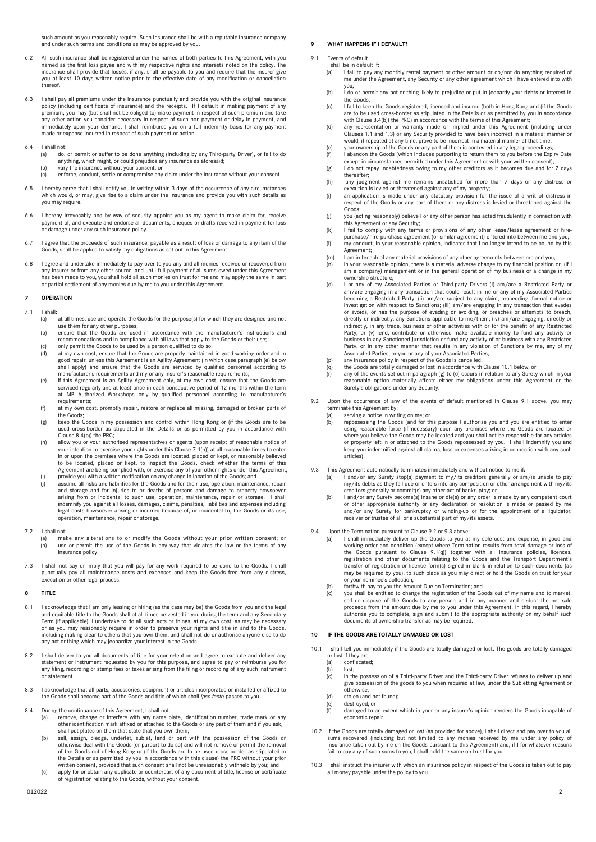such amount as you reasonably require. Such insurance shall be with a reputable insurance company and under such terms and conditions as may be approved by you.

- 6.2 All such insurance shall be registered under the names of both parties to this Agreement, with you named as the first loss payee and with my respective rights and interests noted on the policy. The insurance shall provide that losses, if any, shall be payable to you and require that the insurer give you at least 10 days written notice prior to the effective date of any modification or cancellation **thereof**
- 6.3 I shall pay all premiums under the insurance punctually and provide you with the original insurance<br>policy (including certificate of insurance) and the receipts. If I default in making payment of any<br>premium, you may ( any other action you consider necessary in respect of such non-payment or delay in payment, and immediately upon your demand, I shall reimburse you on a full indemnity basis for any payment made or expense incurred in respect of such payment or action.
- 6.4 I shall not:<br>(a)  $\log$ 
	- (a) do, or permit or suffer to be done anything (including by any Third-party Driver), or fail to do anything, which might, or could prejudice any insurance as aforesaid;
	- (b) vary the insurance without your consent; or (c) enforce, conduct, settle or compromise any claim under the insurance without your consent.
- 6.5 I hereby agree that I shall notify you in writing within 3 days of the occurrence of any circumstances which would, or may, give rise to a claim under the insurance and provide you with such details as you may require.
- 6.6 I hereby irrevocably and by way of security appoint you as my agent to make claim for, receive payment of, and execute and endorse all documents, cheques or drafts received in payment for loss or damage under any such insurance policy.
- 6.7 I agree that the proceeds of such insurance, payable as a result of loss or damage to any item of the Goods, shall be applied to satisfy my obligations as set out in this Agreement.
- 6.8 I agree and undertake immediately to pay over to you any and all monies received or recovered from any insurer or from any other source, and until full payment of all sums owed under this Agreement has been made to you, you shall hold all such monies on trust for me and may apply the same in part or partial settlement of any monies due by me to you under this Agreement.

#### **7 OPERATION**

- <span id="page-1-1"></span>7.1 I shall:
	- (a) at all times, use and operate the Goods for the purpose(s) for which they are designed and not use them for any other purposes;
	- (b) ensure that the Goods are used in accordance with the manufacturer's instructions and recommendations and in compliance with all laws that apply to the Goods or their use;
	- (c) only permit the Goods to be used by a person qualified to do so;<br>(d) at my own cost, ensure that the Goods are properly maintained in good working order and in<br>good repair, unless this Agreement is an Agility Agreement shall apply) and ensure that the Goods are serviced by qualified personnel according to manufacturer's requirements and my or any insurer's reasonable requirements;
	- (e) if this Agreement is an Agility Agreement only, at my own cost, ensure that the Goods are serviced regularly and at least once in each consecutive period of 12 months within the term at MB Authorized Workshops only by qualified personnel according to manufacturer's requirements;
	- (f) at my own cost, promptly repair, restore or replace all missing, damaged or broken parts of the Goods;
	- (g) keep the Goods in my possession and control within Hong Kong or (if the Goods are to be used cross-border as stipulated in the Details or as permitted by you in accordance with Claus[e 8.4\(b](#page-1-0))) the PRC;
	- (h) allow you or your authorised representatives or agents (upon receipt of reasonable notice of your intention to exercise your rights under this Claus[e 7.1\(h](#page-1-1))) at all reasonable times to enter in or upon the premises where the Goods are located, placed or kept, or reasonably believed to be located, placed or kept, to inspect the Goods, check whether the terms of this Agreement are being complied with, or exercise any of your other rights under this Agreement;
	- (i) provide you with a written notification on any change in location of the Goods; and<br>(i) assume all risks and liabilities for the Goods and for their use, operation, mainten assume all risks and liabilities for the Goods and for their use, operation, maintenance, repair and storage and for injuries to or deaths of persons and damage to property howsoever arising from or incidental to such use, operation, maintenance, repair or storage. I shall indemnify you against all losses, damages, claims, penalties, liabilities and expenses including legal costs howsoever arising or incurred because of, or incidental to, the Goods or its use, operation, maintenance, repair or storage.

#### 7.2 I shall not:

- make any alterations to or modify the Goods without your prior written consent; or (b) use or permit the use of the Goods in any way that violates the law or the terms of any insurance policy.
- 7.3 I shall not say or imply that you will pay for any work required to be done to the Goods. I shall punctually pay all maintenance costs and expenses and keep the Goods free from any distress, execution or other legal process.

#### **8 TITLE**

- 8.1 I acknowledge that I am only leasing or hiring (as the case may be) the Goods from you and the legal<br>and equitable title to the Goods shall at all times be vested in you during the term and any Secondary<br>Term (if appli or as you may reasonably require in order to preserve your rights and title in and to the Goods, including making clear to others that you own them, and shall not do or authorise anyone else to do any act or thing which may jeopardize your interest in the Goods.
- 8.2 I shall deliver to you all documents of title for your retention and agree to execute and deliver any<br>statement or instrument requested by you for this purpose, and agree to pay or reimburse you for<br>any filing, recordi or state
- 8.3 I acknowledge that all parts, accessories, equipment or articles incorporated or installed or affixed to the Goods shall become part of the Goods and title of which shall *ipso facto* passed to you.
- <span id="page-1-0"></span>8.4 During the continuance of this Agreement, I shall not:
	- (a) remove, change or interfere with any name plate, identification number, trade mark or any other identification mark affixed or attached to the Goods or any part of them and if you ask, I shall put plates on them that state that you own them; (b) sell, assign, pledge, underlet, sublet, lend or part with the possession of the Goods or
	- otherwise deal with the Goods (or purport to do so) and will not remove or permit the removal of the Goods out of Hong Kong or (if the Goods are to be used cross-border as stipulated in<br>the Details or as permitted by you in accordance with this clause) the PRC without your prior<br>written consent, provided that such
	- of registration relating to the Goods, without your consent.

# <span id="page-1-6"></span>**9 WHAT HAPPENS IF I DEFAULT?**

- <span id="page-1-3"></span>Events of default
	- I shall be in default if:<br>(a) I fail to pay are I fail to pay any monthly rental payment or other amount or do/not do anything required of me under the Agreement, any Security or any other agreement which I have entered into with me under the Agreement, any Security or any other agreement which I have entered into with  $\overline{y}$
	- (b) I do or permit any act or thing likely to prejudice or put in jeopardy your rights or interest in the Goods;
	- (c) I fail to keep the Goods registered, licenced and insured (both in Hong Kong and (if the Goods are to be used cross-border as stipulated in the Details or as permitted by you in accordance<br>with Claus[e 8.4\(b](#page-1-0))) the PRC) in accordance with the terms of this Agreement;<br>(d) any representation or warranty made or implied
	- Clause[s 1.1](#page-0-0) and [1.3\)](#page-0-1) or any Security provided to have been incorrect in a material manner or would, if repeated at any time, prove to be incorrect in a material manner at that time;
	-
	- (e) your ownership of the Goods or any part of them is contested in any legal proceedings;<br>(f) I abandon the Goods (which includes purporting to return them to you before the Expiry Date<br>(f) I abandon the Goods (which incl
	- thereafter;
	- (h) any judgment against me remains unsatisfied for more than 7 days or any distress or execution is levied or threatened against any of my property;
	- (i) an application is made under any statutory provision for the issue of a writ of distress in respect of the Goods or any part of them or any distress is levied or threatened against the Goods;
	- (j) you (acting reasonably) believe I or any other person has acted fraudulently in connection with this Agreement or any Security; (k) I fail to comply with any terms or provisions of any other lease/lease agreement or hire-
	- purchase/hire-purchase agreement (or similar agreement) entered into between me and you; (l) my conduct, in your reasonable opinion, indicates that I no longer intend to be bound by this
	- Agreement;
	- (m) I am in breach of any material provisions of any other agreements between me and you; (n) in your reasonable opinion, there is a material adverse change to my financial position or (if I
	- am a company) management or in the general operation of my business or a change in my ownership structure;
	- (o) I or any of my Associated Parties or Third-party Drivers (i) am/are a Restricted Party or am/are engaging in any transaction that could result in me or any of my Associated Parties becoming a Restricted Party; (ii) am/are subject to any claim, proceeding, formal notice or investigation with respect to Sanctions; (iii) am/are engaging in any transaction that evades<br>or avoids, or has the purpose of evading or avoiding, or breaches or attempts to breach,<br>directly or indirectly, any Sanctions a Party; or (v) lend, contribute or otherwise make available money to fund any activity or business in any Sanctioned Jurisdiction or fund any activity of or business with any Restricted Party, or in any other manner that results in any violation of Sanctions by me, any of my<br>Associated Parties, or you or any of your Associated Parties;<br>(p) any insurance policy in respect of the Goods is cancelled;
	-
	- (q) the Goods are totally damaged or lost in accordance with Claus[e 10.1](#page-1-2) below; or (r) any of the events set out in paragraph (g) to (o) occurs in relation to any Surety which in your
	- reasonable option materially affects either my obligations under this Agreement or the Surety's obligations under any Security.
- 9.2 Upon the occurrence of any of the events of default mentioned in Clause [9.1](#page-1-3) above, you may terminate this Agreement by:
	- (a) serving a notice in writing on me; or (b) repossessing the Goods (and for this purpose I authorise you and you are entitled to enter using reasonable force (if necessary) upon any premises where the Goods are located or where you believe the Goods may be located and you shall not be responsible for any articles or property left in or attached to the Goods repossessed by you. I shall indemnify you and keep you indemnified against all claims, loss or expenses arising in connection with any such articles).
- <span id="page-1-4"></span>9.3 This Agreement automatically terminates immediately and without notice to me if*:*
	- (a) I and/or any Surety stop(s) payment to my/its creditors generally or am/is unable to pay my/its debts as they fall due or enters into any composition or other arrangement with my/its<br>creditors generally or commit(s) any other act of bankruptcy; or<br>(b) I and/or any Surety become(s) insane or die(s) or any order
	- or other appropriate authority or any declaration or resolution is made or passed by me and/or any Surety for bankruptcy or winding-up or for the appointment of a liquidator, receiver or trustee of all or a substantial part of my/its assets.
- <span id="page-1-5"></span>9.4 Upon the Termination pursuant to Clause 9.2 o[r 9.3](#page-1-4) above:
	- I shall immediately deliver up the Goods to you at my sole cost and expense, in good and working order and condition (except where Termination results from total damage or loss of the Goods pursuant to Clause [9.1\(](#page-1-3)q)) together with all insurance policies, licences, registration and other documents relating to the Goods and the Transport Department's transfer of registration or licence form(s) signed in blank in relation to such documents (as may be required by you), to such place as you may direct or hold the Goods on trust for your or your nominee's collection; (b) forthwith pay to you the Amount Due on Termination; and
	-
	- (c) you shall be entitled to change the registration of the Goods out of my name and to market, sell or dispose of the Goods to any person and in any manner and deduct the net sale proceeds from the amount due by me to you under this Agreement. In this regard, I hereby<br>authorise you to complete, sign and submit to the appropriate authority on my behalf such<br>documents of ownership transfer as may be r

#### <span id="page-1-7"></span>**10 IF THE GOODS ARE TOTALLY DAMAGED OR LOS**

- <span id="page-1-2"></span>10.1 I shall tell you immediately if the Goods are totally damaged or lost. The goods are totally damaged or lost if they are<br>(a) confiscate
	- (a) confiscated;<br>(b)  $lost:$
	- lost:
	- (c) in the possession of a Third-party Driver and the Third-party Driver refuses to deliver up and give possession of the goods to you when required at law, under the Subletting Agreement or otherwise;
	- (d) stolen (and not found);<br>(e) destroyed; or<br>(f) damaged to an extent
	-
	- (e) destroyed; or (f) damaged to an extent which in your or any insurer's opinion renders the Goods incapable of economic repair.
- 10.2 If the Goods are totally damaged or lost (as provided for above), I shall direct and pay over to you all<br>sums recovered (including but not limited to any monies received by me under any policy of<br>insurance taken out b fail to pay any of such sums to you, I shall hold the same on trust for you.
- 10.3 I shall instruct the insurer with which an insurance policy in respect of the Goods is taken out to pay all money payable under the policy to you.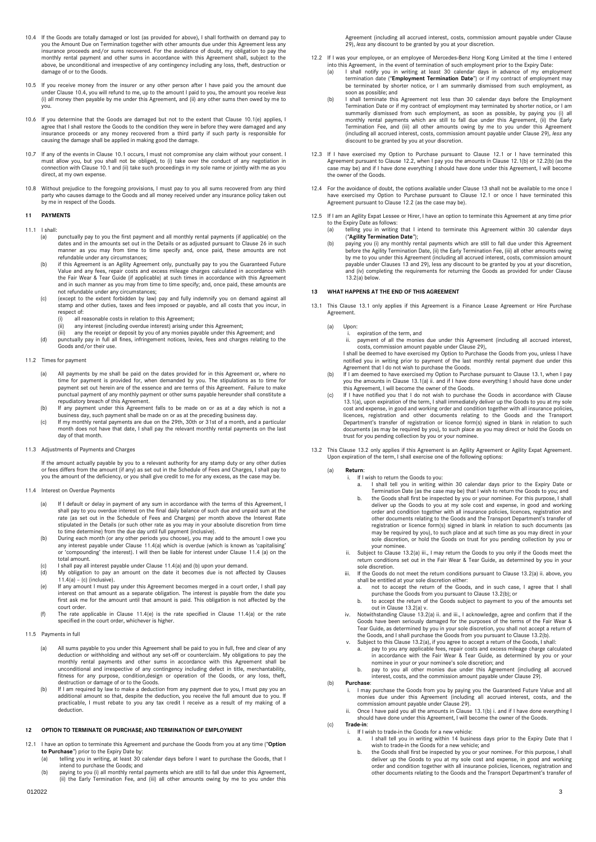- <span id="page-2-0"></span>10.4 If the Goods are totally damaged or lost (as provided for above), I shall forthwith on demand pay to<br>you the Amount Due on Termination together with other amounts due under this Agreement less any<br>insurance proceeds a monthly rental payment and other sums in accordance with this Agreement shall, subject to the above, be unconditional and irrespective of any contingency including any loss, theft, destruction or damage of or to the Goods.
- 10.5 If you receive money from the insurer or any other person after I have paid you the amount due under Claus[e 10.4,](#page-2-0) you will refund to me, up to the amount I paid to you, the amount you receive *less* (i) all money then payable by me under this Agreement, and (ii) any other sums then owed by me to you.
- 10.6 If you determine that the Goods are damaged but not to the extent that Clause [10.1\(e](#page-1-2)) applies, I agree that I shall restore the Goods to the condition they were in before they were damaged and any agree that I shall restore the Goods to the condition they were in before they were damaged and any insurance proceeds or any money recovered from a third party if such party is responsible for causing the damage shall be applied in making good the damage.
- 10.7 If any of the events in Claus[e 10.1](#page-1-2) occurs, I must not compromise any claim without your consent. I must allow you, but you shall not be obliged, to (i) take over the conduct of any negotiation in connection with Claus[e 10.1](#page-1-2) and (ii) take such proceedings in my sole name or jointly with me as you direct, at my own expense.
- 10.8 Without prejudice to the foregoing provisions, I must pay to you all sums recovered from any third<br>party who causes damage to the Goods and all money received under any insurance policy taken out<br>by me in respect of t

# **11 PAYMENTS**

- 11.1 I shall:
	- (a) punctually pay to you the first payment and all monthly rental payments (if applicable) on the dates and in the amounts set out in the Details or as adjusted pursuant to Clause [26](#page-4-0) in such manner as you may from time to time specify and, once paid, these amounts are not
	- refundable under any circumstances; (b) if this Agreement is an Agility Agreement only, punctually pay to you the Guaranteed Future Value and any fees, repair costs and excess mileage charges calculated in accordance with the Fair Wear & Tear Guide (if applicable) at such times in accordance with this Agreement and in such manner as you may from time to time specify; and, once paid, these amounts are not refundable under any circumstances;
	- (c) (except to the extent forbidden by law) pay and fully indemnify you on demand against all stamp and other duties, taxes and fees imposed or payable, and all costs that you incur, in respect of:
		-
		- (i) all reasonable costs in relation to this Agreement; (ii) any interest (including overdue interest) arising under this Agreement;
	- (iii) any the receipt or deposit by you of any monies payable under this Agreement; and (d) punctually pay in full all fines, infringement notices, levies, fees and charges relating to the Goods and/or their use.

## <span id="page-2-5"></span>11.2 Times for payment

- (a) All payments by me shall be paid on the dates provided for in this Agreement or, where no time for payment is provided for, when demanded by you. The stipulations as to time for payment set out herein are of the essence and are terms of this Agreement. Failure to make punctual payment of any monthly payment or other sums payable hereunder shall constitute a repudiatory breach of this Agreement.
- b) If any payment under this Agreement falls to be made on or as at a day which is not a)<br>business day, such payment shall be made on or as at the preceding business day.<br>Ic) If my monthly rental payments are due on the 29
- month does not have that date, I shall pay the relevant monthly rental payments on the last day of that month.

#### 11.3 Adjustments of Payments and Charges

If the amount actually payable by you to a relevant authority for any stamp duty or any other duties or fees differs from the amount (if any) as set out in the Schedule of Fees and Charges, I shall pay to you the amount of the deficiency, or you shall give credit to me for any excess, as the case may be.

### <span id="page-2-1"></span>11.4 Interest on Overdue Payments

- (a) If I default or delay in payment of any sum in accordance with the terms of this Agreement, I shall pay to you overdue interest on the final daily balance of such due and unpaid sum at the rate (as set out in the Schedule of Fees and Charges) per month above the Interest Rate stipulated in the Details (or such other rate as you may in your absolute discretion from time
- to time determine) from the due day until full payment (inclusive).<br>(b) During each month (or any other periods you choose), you may add to the amount I owe you<br>any interest payable under Clause [11.4](#page-2-1)(a) which is overdue (w or 'compounding' the interest). I will then be liable for interest under Clause [11.4](#page-2-1) (a) on the total amount.
- (c) I shall pay all interest payable under Claus[e 11.4\(](#page-2-1)a) and (b) upon your demand.
- (d) My obligation to pay an amount on the date it becomes due is not affected by Clauses [11.4\(a](#page-2-1)) – (c) (inclusive).
- (e) If any amount I must pay under this Agreement becomes merged in a court order, I shall pay interest on that amount as a separate obligation. The interest is payable from the date you first ask me for the amount until that amount is paid. This obligation is not affected by the court order.
- (f) The rate applicable in Clause [11.4\(e](#page-2-1)) is the rate specified in Clause [11.4\(a](#page-2-1)) or the rate specified in the court order, whichever is higher.
- 11.5 Payments in full
	- (a) All sums payable to you under this Agreement shall be paid to you in full, free and clear of any deduction or withholding and without any set-off or counterclaim. My obligations to pay the monthly rental payments and other sums in accordance with this Agreement shall be unconditional and irrespective of any contingency including defect in title, merchantability,<br>fitness for any purpose, condition,design or operation of the Goods, or any loss, theft,<br>destruction or damage of or to the Good
	- (b) If I am required by law to make a deduction from any payment due to you, I must pay you an<br>additional amount so that, despite the deduction, you receive the full amount due to you. If<br>practicable, I must rebate to you deduction.

# **12 OPTION TO TERMINATE OR PURCHASE; AND TERMINATION OF EMPLOYMENT**

- <span id="page-2-2"></span>12.1 I have an option to terminate this Agreement and purchase the Goods from you at any time ("**Option to Purchase**") prior to the Expiry Date by:<br>(a) telling you in writing, at least 30 calendar days before I want to purchase the Goods, that I
	- intend to purchase the Goods; and (b) paying to you (i) all monthly rental payments which are still to fall due under this Agreement,
	- (ii) the Early Termination Fee, and (iii) all other amounts owing by me to you under this

Agreement (including all accrued interest, costs, commission amount payable under Clause 29), *less* any discount to be granted by you at your discretion.

- <span id="page-2-3"></span>12.2 If I was your employee, or an employee of Mercedes-Benz Hong Kong Limited at the time I entered into this Agreement, in the event of termination of such employment prior to the Expiry Date:
	- (a) I shall notify you in writing at least 30 calendar days in advance of my employment termination date ("**Employment Termination Date**") or if my contract of employment may be terminated by shorter notice, or I am summarily dismissed from such employment, as soon as possible; and
	- (b) I shall terminate this Agreement not less than 30 calendar days before the Employment Termination Date or if my contract of employment may terminated by shorter notice, or I am summarily dismissed from such employment, as soon as possible, by paying you (i) all<br>monthly rental payments which are still to fall due under this Agreement, (ii) the Early<br>Termination Fee, and (iii) all other amounts owi (including all accrued interest, costs, commission amount payable under Clause 29), *less* any discount to be granted by you at your discretion.
- 12.3 If I have exercised my Option to Purchase pursuant to Clause [12.1](#page-2-2) or I have terminated this Agreement pursuant to Claus[e 12.2,](#page-2-3) when I pay you the amounts in Claus[e 12.1\(b](#page-2-2)) o[r 12.2\(](#page-2-3)b) (as the case may be) and if I have done everything I should have done under this Agreement, I will become the owner of the Goods.
- 12.4 For the avoidance of doubt, the options available under Clause 13 shall not be available to me once I have exercised my Option to Purchase pursuant to Clause 12.1 or once I have terminated this Agreement pursuant to Claus[e 12.2](#page-2-3) (as the case may be).
- 12.5 If I am an Agility Expat Lessee or Hirer, I have an option to terminate this Agreement at any time prior
	- to the Expiry Date as follows:<br>(a) telling you in writing that I intend to terminate this Agreement within 30 calendar days<br>(**"Agility Termination Date**");
		- (b) paying you (i) any monthly rental payments which are still to fall due under this Agreement before the Agility Termination Date, (ii) the Early Termination Fee, (iii) all other amounts owing by me to you under this Agreement (including all accrued interest, costs, commission amount payable under Clauses 13 and 29), less any discount to be granted by you at your discretion, and (iv) completing the requirements for returning the Goods as provided for under Clause 13.2(a) below.

# **13 WHAT HAPPENS AT THE END OF THIS AGREEMENT**

- <span id="page-2-4"></span>13.1 This Clause 13.1 only applies if this Agreement is a Finance Lease Agreement or Hire Purchase Agreement.
	- (a) Upon:
		-
		- i. expiration of the term, and ii. payment of all the monies due under this Agreement (including all accrued interest, costs, commission amount payable under Claus[e 29\),](#page-4-1) I shall be deemed to have exercised my Option to Purchase the Goods from you, unless I have

notified you in writing prior to payment of the last monthly rental payment due under this<br>Agreement that I do not wish to purchase the Goods.<br>If I am deemed to have exercised my Option to Purchase pursuant to Clause 13.1,

- you the amounts in Claus[e 13.1\(a](#page-2-4)) ii. and if I have done everything I should have done under this Agreement, I will become the owner of the Goods.
- (c) If I have notified you that I do not wish to purchase the Goods in accordance with Clause [13.1\(a](#page-2-4)), upon expiration of the term, I shall immediately deliver up the Goods to you at my sole cost and expense, in good and working order and condition together with all insurance policies,<br>licences, registration and other documents relating to the Goods and the Transport<br>Department's transfer of registration or li trust for you pending collection by you or your nominee.
- 13.2 This Clause 13.2 only applies if this Agreement is an Agility Agreement or Agility Expat Agreement. Upon expiration of the term, I shall exercise one of the following options:
	- (a) **Return**:
		- i. If I wish to return the Goods to you:<br>a. I shall tell you in writing wi
			- a. I shall tell you in writing within 30 calendar days prior to the Expiry Date or Termination Date (as the case may be) that I wish to return the Goods to you; and
			- b. the Goods shall first be inspected by you or your nominee. For this purpose, I shall<br>deliver up the Goods to you at my sole cost and expense, in good and working<br>order and condition together with all insurance policies, other documents relating to the Goods and the Transport Department's transfer of registration or licence form(s) signed in blank in relation to such documents (as<br>may be required by you), to such place and at such time as you may direct in your<br>sole discretion, or hold the Goods on trust for you pendin your nominee.
		- Subject to Clause 13.2(a) iii., I may return the Goods to you only if the Goods meet the return conditions set out in the Fair Wear & Tear Guide, as determined by you in your sole discretion.
		- iii. If the Goods do not meet the return conditions pursuant to Clause 13.2(a) ii. above, you shall be entitled at your sole discretion either: a. not to accept the return of the Goods, and in such case, I agree that I shall
			- purchase the Goods from you pursuant to Clause 13.2(b); or b. to accept the return of the Goods subject to payment to you of the amounts set
			- out in Clause 13.2(a) v.
		- Notwithstanding Clause 13.2(a) ii. and iii., I acknowledge, agree and confirm that if the Goods have been seriously damaged for the purposes of the terms of the Fair Wear & Tear Guide, as determined by you in your sole discretion, you shall not accept a return of the Goods, and I shall purchase the Goods from you pursuant to Clause 13.2(b).
		- v. Subject to this Clause 13.2(a), if you agree to accept a return of the Goods, I shall: a. pay to you any applicable fees, repair costs and excess mileage charge calculated
			- in accordance with the Fair Wear & Tear Guide, as determined by you or your m accordance with the ran wear a real cate; as a
			- b. pay to you all other monies due under this Agreement (including all accrued interest, costs, and the commission amount payable under Claus[e 29\).](#page-4-1)
	- (b) **Purchase**:
		- I may purchase the Goods from you by paying you the Guaranteed Future Value and all monies due under this Agreement (including all accrued interest, costs, and the<br>commission amount payable under Claus[e 29\).](#page-4-1)<br>ii. Once I have paid you all the amounts in Clause 13.1(b) i. and if I have done everything I
		- should have done under this Agreement, I will become the owner of the Goods.
	- (c) **Trade-in**:
		- i. If I wish to trade-in the Goods for a new vehicle:<br>a. I shall tell you in writing within 14 business days prior to the Expiry Date that I<br>wish to trade-in the Goods for a new vehicle; and<br>b. the Goods shall first be ins
			- deliver up the Goods to you at my sole cost and expense, in good and working<br>order and condition together with all insurance policies, licences, registration and<br>other documents relating to the Goods and the Transport Depa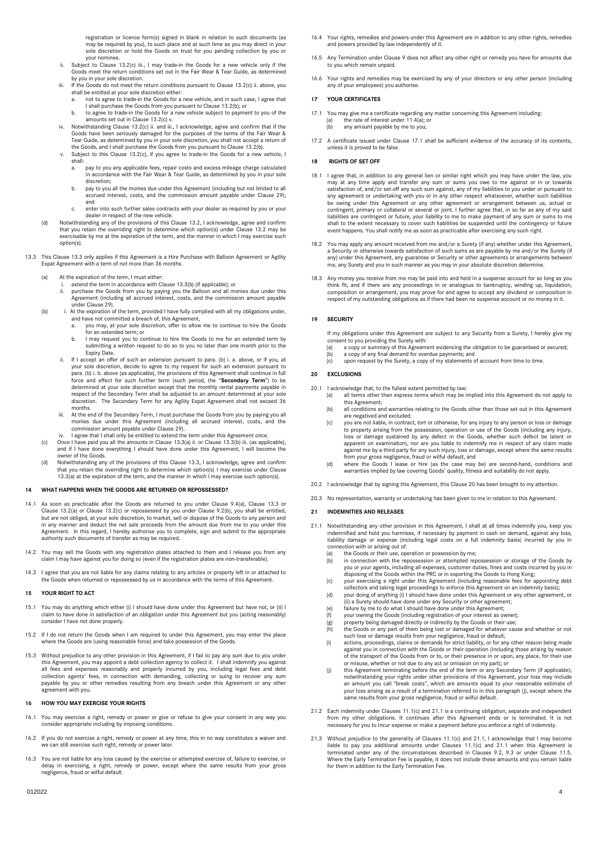registration or licence form(s) signed in blank in relation to such documents (as may be required by you), to such place and at such time as you may direct in your sole discretion or hold the Goods on trust for you pending collection by you or

- your nominee. ii. Subject to Clause 13.2(c) iii., I may trade-in the Goods for a new vehicle only if the Goods meet the return conditions set out in the Fair Wear & Tear Guide, as determined by you in your sole discretion.
- iii. If the Goods do not meet the return conditions pursuant to Clause 13.2(c) ii. above, you shall be entitled at your sole discretion either:
	- a. not to agree to trade-in the Goods for a new vehicle, and in such case, I agree that I shall purchase the Goods from you pursuant to Clause 13.2(b); or b. to agree to trade-in the Goods for a new vehicle subject to payment to you of the
- amounts set out in Clause 13.2(c) v. iv. Notwithstanding Clause 13.2(c) ii. and iii., I acknowledge, agree and confirm that if the
- Goods have been seriously damaged for the purposes of the terms of the Fair Wear & Tear Guide, as determined by you in your sole discretion, you shall not accept a return of
- the Goods, and I shall purchase the Goods from you pursuant to Clause 13.2(b). v. Subject to this Clause 13.2(c), if you agree to trade-in the Goods for a new vehicle, I shall:
	- pay to you any applicable fees, repair costs and excess mileage charge calculated in accordance with the Fair Wear & Tear Guide, as determined by you in your sole discretion;
	- b. pay to you all the monies due under this Agreement (including but not limited to all accrued interest, costs, and the commission amount payable under Clause [29\);](#page-4-1) and
	- c. enter into such further sales contracts with your dealer as required by you or your dealer in respect of the new vehicle.
- (d) Notwithstanding any of the provisions of this Clause 13.2, I acknowledge, agree and confirm that you retain the overriding right to determine which option(s) under Clause 13.2 may be exercisable by me at the expiration of the term, and the manner in which I may exercise such option(s).
- <span id="page-3-1"></span>13.3 This Clause 13.3 only applies if this Agreement is a Hire Purchase with Balloon Agreement or Agility Expat Agreement with a term of not more than 36 months.
	- At the expiration of the term, I must either
		- i. extend the term in accordance with Clause 13.3(b) (if applicable); or ii purchase the Goods from you by paying you the Balloon and all mo
		- ii. purchase the Goods from you by paying you the Balloon and all monies due under this Agreement (including all accrued interest, costs, and the commission amount payable under Claus[e 29\).](#page-4-1)
	- (b) i. At the expiration of the term, provided I have fully complied with all my obligations under,
		- and have not committed a breach of, this Agreement, a. you may, at your sole discretion, offer to allow me to continue to hire the Goods for an extended term; or
		- b. I may request you to continue to hire the Goods to me for an extended term by submitting a written request to do so to you no later than one month prior to the Expiry Date.
		- ii. If I accept an offer of such an extension pursuant to para. (b) i. a. above, or if you, at your sole discretion, decide to agree to my request for such an extension pursuant to para. (b) i. b. above (as applicable), the provisions of this Agreement shall continue in full force and effect for such further term (s discretion. The Secondary Term for any Agility Expat Agreement shall not exceed 36 months.
		- iii. At the end of the Secondary Term, I must purchase the Goods from you by paying you all monies due under this Agreement (including all accrued interest, costs, and the
		- commission amount payable under Claus[e 29\).](#page-4-1) iv. I agree that I shall only be entitled to extend the term under this Agreement once.
	- (c) Once I have paid you all the amounts in Clause 13.3(a) ii. or Clause 13.3(b) iii. (as applicable), and if I have done everything I should have done under this Agreement, I will become the owner of the Goods.
	- (d) Notwithstanding any of the provisions of this Clause 13.3, I acknowledge, agree and confirm that you retain the overriding right to determine which option(s) I may exercise under Clause 13.3(a) at the expiration of the term, and the manner in which I may exercise such option(s).

#### **14 WHAT HAPPENS WHEN THE GOODS ARE RETURNED OR REPOSSESSED?**

- 14.1 As soon as practicable after the Goods are returned to you under Claus[e 9.4\(a](#page-1-5)), Clause 13.3 or Clause 13.2(a) or Clause 13.2(c) or repossessed by you under Clause 9.2(b), you shall be entitled, but are not obliged, at your sole discretion, to market, sell or dispose of the Goods to any person and in any manner and deduct the net sale proceeds from the amount due from me to you under this Agreement. In this regard, I hereby authorise you to complete, sign and submit to the appropriate thority such documents of transfer as may be required.
- 14.2 You may sell the Goods with any registration plates attached to them and I release you from any claim I may have against you for doing so (even if the registration plates are non-transferable).
- 14.3 I agree that you are not liable for any claims relating to any articles or property left in or attached to the Goods when returned or repossessed by us in accordance with the terms of this Agreement.

# **15 YOUR RIGHT TO ACT**

- 15.1 You may do anything which either (i) I should have done under this Agreement but have not, or (ii) I claim to have done in satisfaction of an obligation under this Agreement but you (acting reasonably) consider I have not done properly.
- 15.2 If I do not return the Goods when I am required to under this Agreement, you may enter the place where the Goods are (using reasonable force) and take possession of the Goods.
- 15.3 Without prejudice to any other provision in this Agreement, if I fail to pay any sum due to you under this Agreement, you may appoint a debt collection agency to collect it. I shall indemnify you against all fees and expenses reasonably and properly incurred by you, including legal fees and debt collection agents' fees, in connection with demanding, collecting or suing to recover any sum payable by you or other remedies resulting from any breach under this Agreement or any other agreement with you.

# **16 HOW YOU MAY EXERCISE YOUR RIGHTS**

- 16.1 You may exercise a right, remedy or power or give or refuse to give your consent in any way you consider appropriate including by imposing conditions.
- 16.2 If you do not exercise a right, remedy or power at any time, this in no way constitutes a waiver and we can still exercise such right, remedy or power later
- 16.3 You are not liable for any loss caused by the exercise or attempted exercise of, failure to exercise, or delay in exercising, a right, remedy or power, except where the same results from your gross negligence, fraud or wilful default.
- 16.4 Your rights, remedies and powers under this Agreement are in addition to any other rights, remedies and powers provided by law independently of it
- 16.5 Any Termination under Claus[e 9](#page-1-6) does not affect any other right or remedy you have for amounts due to you which remain unpaid.
- 16.6 Your rights and remedies may be exercised by any of your directors or any other person (including any of your employees) you authorise.

# **17 YOUR CERTIFICATES**

- <span id="page-3-2"></span>17.1 You may give me a certificate regarding any matter concerning this Agreement including: the rate of interest unde[r 11.4\(a](#page-2-1)); or
	- (b) any amount payable by me to you;
- 17.2 A certificate issued under Claus[e 17.1](#page-3-2) shall be sufficient evidence of the accuracy of its contents, unless it is proved to be false.

#### **18 RIGHTS OF SET OFF**

- 18.1 I agree that, in addition to any general lien or similar right which you may have under the law, you may at any time apply and transfer any sum or sums you ove to me against or in or towards satisfaction of, and/or se contingent, primary or collateral or several or joint. I further agree that, in so far as any of my said liabilities are contingent or future, your liability to me to make payment of any sum or sums to me shall to the extent necessary to cover such liabilities be suspended until the contingency or future event happens. You shall notify me as soon as practicable after exercising any such right.
- 18.2 You may apply any amount received from me and/or a Surety (if any) whether under this Agreement, a Security or otherwise towards satisfaction of such sums as are payable by me and/or the Surety (if any) under this Agreement, any guarantee or Security or other agreements or arrangements between me, any Surety and you in such manner as you may in your absolute discretion determine.
- 18.3 Any money you receive from me may be paid into and held in a suspense account for so long as you think fit, and if there are any proceedings in or analogous to bankruptcy, winding up, liquidation, composition or arrangement, you may prove for and agree to accept any dividend or composition in respect of my outstanding obligations as if there had been no suspense account or no money in it.

## **19 SECURITY**

If my obligations under this Agreement are subject to any Security from a Surety, I hereby give my consent to you providing the Surety with:

- (a) a copy or summary of this Agreement evidencing the obligation to be guaranteed or secured; (b) a copy of any final demand for overdue payments; and
- (c) upon request by the Surety, a copy of my statements of account from time to time.

#### <span id="page-3-0"></span>**20 EXCLUSIONS**

- 20.1 I acknowledge that, to the fullest extent permitted by law:
	- (a) all terms other than express terms which may be implied into this Agreement do not apply to this Agreement;
		- (b) all conditions and warranties relating to the Goods other than those set out in this Agreement are negatived and excluded;
		- (c) you are not liable, in contract, tort or otherwise, for any injury to any person or loss or damage to property arising from the possession, operation or use of the Goods (including any injury, loss or damage sustained by any defect in the Goods, whether such defect be latent or apparent on examination), nor are you liable to indemnify me in respect of any claim made against me by a third party for any such injury, loss or damage, except where the same results<br>from your gross negligence, fraud or wilful default, and<br>(d) where the Goods I lease or hire (as the case may be) are second-ha
	- warranties implied by law covering Goods' quality, fitness and suitability do not apply.
- 20.2 I acknowledge that by signing this Agreement, this Claus[e 20](#page-3-0) has been brought to my attention.
- 20.3 No representation, warranty or undertaking has been given to me in relation to this Agreement.

#### <span id="page-3-4"></span>**21 INDEMNITIES AND RELEASES**

- <span id="page-3-3"></span>21.1 Notwithstanding any other provision in this Agreement, I shall at all times indemnify you, keep you indemnified and hold you harmless, if necessary by payment in cash on demand, against any loss, liability damage or expense (including legal costs on a full indemnity basis) incurred by you in ction with or arising out of:
	- (a) the Goods or their use, operation or possession by me;<br>(b) in connection with the repossession or attempted reg
	- (b) in connection with the repossession or attempted repossession or storage of the Goods by you or your agents, including all expenses, customer duties, fines and costs incurred by you in disposing of the Goods within the PRC or in exporting the Goods to Hong Kong;<br>(c) your exercising a right under this Agreement (including reasonable fees for appointing debt)
	- collectors and taking legal proceedings to enforce this Agreement on an indemnity basis); (d) your doing of anything (i) I should have done under this Agreement or any other agreement, or
	- (ii) a Surety should have done under any Security or other agreement;
	- (e) failure by me to do what I should have done under this Agreement; (f) your owning the Goods (including registration of your interest as owner);
	-
	- (g) property being damaged directly or indirectly by the Goods or their use; (h) the Goods or any part of them being lost or damaged for whatever cause and whether or not
	- such loss or damage results from your negligence, fraud or default; (i) actions, proceedings, claims or demands for strict liability, or for any other reason being made
	- against you in connection with the Goods or their operation (including those arising by reason of the transport of the Goods from or to, or their presence in or upon, any place, for their use or misuse, whether or not due to any act or omission on my part); or
	- (j) this Agreement terminating before the end of the term or any Secondary Term (if applicable); notwithstanding your rights under other provisions of this Agreement, your loss may include<br>an amount you call "break costs", which are amounts equal to your reasonable estimate of<br>your loss arising as a result of a termin same results from your gross negligence, fraud or wilful default
- 21.2 Each indemnity under Clauses 11.[1\(c\)](#page-2-5) an[d 21.1](#page-3-3) is a continuing obligation, separate and independent from my other obligations. It continues after this Agreement ends or is terminated. It is not necessary for you to incur expense or make a payment before you enforce a right of indemnity.
- Without prejudice to the generality of Clauses 11.[1\(c\)](#page-2-5) an[d 21.1,](#page-3-3) I acknowledge that I may become liable to pay you additional amounts under Clauses 11.[1\(c\)](#page-2-5) and [21.1](#page-3-3) when this Agreement is terminated under any of the circumstances described in Clauses 9.2, 9.3 or under Clause 11.5. Where the Early Termination Fee is payable, it does not include these amounts and you remain liable for them in addition to the Early Termination Fee.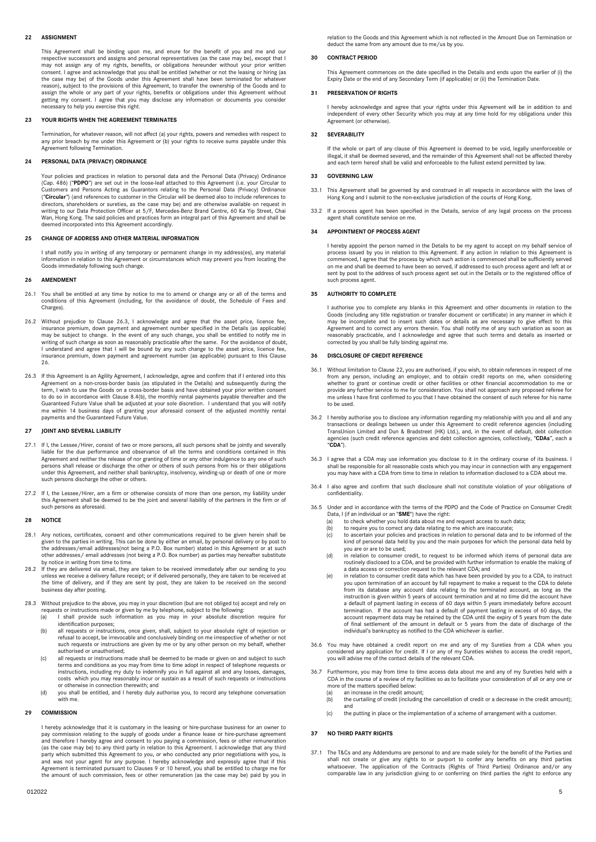# <span id="page-4-3"></span>**22 ASSIGNMENT**

This Agreement shall be binding upon me, and enure for the benefit of you and me and our respective successors and assigns and personal representatives (as the case may be), except that I may not assign any of my rights, benefits, or obligations hereunder without your prior written consent. I agree and acknowledge that you shall be entitled (whether or not the leasing or hiring (as the case may be) of the Goods under this Agreement shall have been terminated for whatever reason), subject to the provisions of this Agreement, to transfer the ownership of the Goods and to assign the whole or any part of your rights, benefits or obligations under this Agreement without getting my consent. I agree that you may disclose any information or documents you consider necessary to help you exercise this right.

#### **23 YOUR RIGHTS WHEN THE AGREEMENT TERMINATES**

Termination, for whatever reason, will not affect (a) your rights, powers and remedies with respect to any prior breach by me under this Agreement or (b) your rights to receive sums payable under this Agreement following Termination.

# **24 PERSONAL DATA (PRIVACY) ORDINANCE**

Your policies and practices in relation to personal data and the Personal Data (Privacy) Ordinance (Cap. 486) ("**PDPO**") are set out in the loose-leaf attached to this Agreement (i.e. your Circular to Customers and Persons Acting as Guarantors relating to the Personal Data (Privacy) Ordinance ("**Circular**") (and references to customer in the Circular will be deemed also to include references to directors, shareholders or sureties, as the case may be) and are otherwise available on request in writing to our Data Protection Officer at 5/F, Mercedes-Benz Brand Centre, 60 Ka Yip Street, Chai Wan, Hong Kong. The said policies and practices form an integral part of this Agreement and shall be deemed incorporated into this Agreement accordingly.

# **25 CHANGE OF ADDRESS AND OTHER MATERIAL INFORMATION**

I shall notify you in writing of any temporary or permanent change in my address(es), any material information in relation to this Agreement or circumstances which may prevent you from locating the Goods immediately following such change.

### <span id="page-4-0"></span>**26 AMENDMENT**

- 26.1 You shall be entitled at any time by notice to me to amend or change any or all of the terms and conditions of this Agreement (including, for the avoidance of doubt, the Schedule of Fees and Charges).
- 26.2 Without prejudice to Clause [26.3,](#page-4-2) I acknowledge and agree that the asset price, licence fee, insurance premium, down payment and agreement number specified in the Details (as applicable) may be subject to change. In the event of any such change, you shall be entitled to notify me in<br>writing of such change as soon as reasonably practicable after the same. For the avoidance of doubt,<br>I understand and agree t
- <span id="page-4-2"></span>26.3 If this Agreement is an Agility Agreement, I acknowledge, agree and confirm that if I entered into this Agreement on a non-cross-border basis (as stipulated in the Details) and subsequently during the term, I wish to use the Goods on a cross-border basis and have obtained your prior written consent to do so in accordance with Claus[e 8.4\(b](#page-1-0)), the monthly rental payments payable thereafter and the<br>Guaranteed Future Value shall be adjusted at your sole discretion. I understand that you will notify<br>me within 14 business d payments and the Guaranteed Future Value.

### **27 JOINT AND SEVERAL LIABILITY**

- 27.1 If I, the Lessee/Hirer, consist of two or more persons, all such persons shall be jointly and severally liable for the due performance and observance of all the terms and conditions contained in this Agreement and neither the release of nor granting of time or any other indulgence to any one of such persons shall release or discharge the other or others of such persons from his or their obligations under this Agreement, and neither shall bankruptcy, insolvency, winding-up or death of one or more such persons discharge the other or others.
- 27.2 If I, the Lessee/Hirer, am a firm or otherwise consists of more than one person, my liability under this Agreement shall be deemed to be the joint and several liability of the partners in the firm or of such persons as aforesaid.

# **28 NOTICE**

- 28.1 Any notices, certificates, consent and other communications required to be given herein shall be<br>given to the parties in writing. This can be done by either an email, by personal delivery or by post to<br>the addresses/e other addresses/ email addresses (not being a P.O. Box number) as parties may hereafter substitute by notice in writing from time to time.
- 28.2 If they are delivered via email, they are taken to be received immediately after our sending to you unless we receive a delivery failure receipt; or if delivered personally, they are taken to be received at the time of delivery, and if they are sent by post, they are taken to be received on the second business day after posting.
- 28.3 Without prejudice to the above, you may in your discretion (but are not obliged to) accept and rely on requests or instructions made or given by me by telephone, subject to the following: (a) I shall provide such information as you may in your absolute discretion require for
	- identification purposes;
	- (b) all requests or instructions, once given, shall, subject to your absolute right of rejection or refusal to accept, be irrevocable and conclusively binding on me irrespective of whether or not such requests or instructions are given by me or by any other person on my behalf, whether authorised or unauthorised;
	- (c) all requests or instructions made shall be deemed to be made or given on and subject to such terms and conditions as you may from time to time adopt in respect of telephone requests or instructions, including my duty to indemnify you in full against all and any losses, damages,<br>costs which you may reasonably incur or sustain as a result of such requests or instructions<br>or otherwise in connection therewi
	- (d) you shall be entitled, and I hereby duly authorise you, to record any telephone conversation with me.

# <span id="page-4-1"></span>**29 COMMISSION**

I hereby acknowledge that it is customary in the leasing or hire-purchase business for an owner to pay commission relating to the supply of goods under a finance lease or hire-purchase agreement and therefore I hereby agree and consent to you paying a commission, fees or other remuneration (as the case may be) to any third party in relation to this Agreement. I acknowledge that any third<br>party which submitted this Agreement to you, or who conducted any prior negotiations with you, is<br>and was not your agent f Agreement is terminated pursuant to Clause[s 9](#page-1-6) o[r 10](#page-1-7) hereof, you shall be entitled to charge me for the amount of such commission, fees or other remuneration (as the case may be) paid by you in relation to the Goods and this Agreement which is not reflected in the Amount Due on Termination or deduct the same from any amount due to me/us by you.

# **30 CONTRACT PERIOD**

This Agreement commences on the date specified in the Details and ends upon the earlier of (i) the Expiry Date or the end of any Secondary Term (if applicable) or (ii) the Termination Date.

# **31 PRESERVATION OF RIGHTS**

I hereby acknowledge and agree that your rights under this Agreement will be in addition to and independent of every other Security which you may at any time hold for my obligations under this Agreement (or otherwise).

#### **32 SEVERABILITY**

If the whole or part of any clause of this Agreement is deemed to be void, legally unenforceable or illegal, it shall be deemed severed, and the remainder of this Agreement shall not be affected thereby and each term hereof shall be valid and enforceable to the fullest extend permitted by law.

#### **33 GOVERNING LAW**

- 33.1 This Agreement shall be governed by and construed in all respects in accordance with the laws of Hong Kong and I submit to the non-exclusive jurisdiction of the courts of Hong Kong.
- If a process agent has been specified in the Details, service of any legal process on the process agent shall constitute service on me.

#### **34 APPOINTMENT OF PROCESS AGENT**

I hereby appoint the person named in the Details to be my agent to accept on my behalf service of process issued by you in relation to this Agreement. If any action in relation to this Agreement is<br>commenced, I agree that the process by which such action is commenced shall be sufficiently served<br>on me and shall be deem sent by post to the address of such process agent set out in the Details or to the registered office of such process agent.

#### **35 AUTHORITY TO COMPLETE**

I authorise you to complete any blanks in this Agreement and other documents in relation to the Goods (including any title registration or transfer document or certificate) in any manner in which it may be incomplete and to insert such dates or details as are necessary to give effect to this Agreement and to correct any errors therein. You shall notify me of any such variation as soon as reasonably practicable, and I acknowledge and agree that such terms and details as inserted or corrected by you shall be fully binding against me.

# **36 DISCLOSURE OF CREDIT REFERENCE**

- 36.1 Without limitation to Claus[e 22,](#page-4-3) you are authorised, if you wish, to obtain references in respect of me from any person, including an employer, and to obtain credit reports on me, when considering whether to grant or continue credit or other facilities or other financial accommodation to me or provide any further service to me for consideration. You shall not approach any proposed referee for me unless I have first confirmed to you that I have obtained the consent of such referee for his name to be used.
- 36.2 I hereby authorise you to disclose any information regarding my relationship with you and all and any transactions or dealings between us under this Agreement to credit reference agencies (including TransUnion Limited and Dun & Bradstreet (HK) Ltd.), and, in the event of default, debt collection agencies (such credit reference agencies and debt collection agencies, collectively, "**CDAs**", each a "**CDA**").
- 36.3 I agree that a CDA may use information you disclose to it in the ordinary course of its business. I shall be responsible for all reasonable costs which you may incur in connection with any engagement you may have with a CDA from time to time in relation to information disclosed to a CDA about me.
- 36.4 I also agree and confirm that such disclosure shall not constitute violation of your obligations of confidentiality.
- 36.5 Under and in accordance with the terms of the PDPO and the Code of Practice on Consumer Credit Data, I (if an individual or an "**SME**") have the right:<br>(a) to check whether you hold data about me and
	- (a) to check whether you hold data about me and request access to such data; (b) to require you to correct any data relating to me which are inaccurate;
	- (c) to ascertain your policies and practices in relation to personal data and to be informed of the kind of personal data held by you and the main purposes for which the personal data held by
	- you are or are to be used; (d) in relation to consumer credit, to request to be informed which items of personal data are routinely disclosed to a CDA, and be provided with further information to enable the making of a data access or correction request to the relevant CDA; and
	- (e) in relation to consumer credit data which has have been provided by you to a CDA, to instruct you upon termination of an account by full repayment to make a request to the CDA to delete from its database any account data relating to the terminated account, as long as the instruction is given within 5 years of account termination and at no time did the account have a default of payment lasting in excess of 60 days within 5 years immediately before account termination. If the account has had a default of payment lasting in excess of 60 days, the account repayment data may be retained by the CDA until the expiry of 5 years from the date of final settlement of the amount in de
- 36.6 You may have obtained a credit report on me and any of my Sureties from a CDA when you considered any application for credit. If I or any of my Sureties wishes to access the credit report, you will advise me of the contact details of the relevant CDA.
- 36.7 Furthermore, you may from time to time access data about me and any of my Sureties held with a CDA in the course of a review of my facilities so as to facilitate your consideration of all or any one or more of the matters specified below:
	- an increase in the credit amount;
	- (b) the curtailing of credit (including the cancellation of credit or a decrease in the credit amount); and
	- (c) the putting in place or the implementation of a scheme of arrangement with a customer.

# <span id="page-4-4"></span>**37 NO THIRD PARTY RIGHTS**

37.1 The T&Cs and any Addendums are personal to and are made solely for the benefit of the Parties and shall not create or give any rights to or purport to confer any benefits on any third parties whatsoever. The application of the Contracts (Rights of Third Parties) Ordinance and/or any comparable law in any jurisdiction giving to or conferring on third parties the right to enforce any